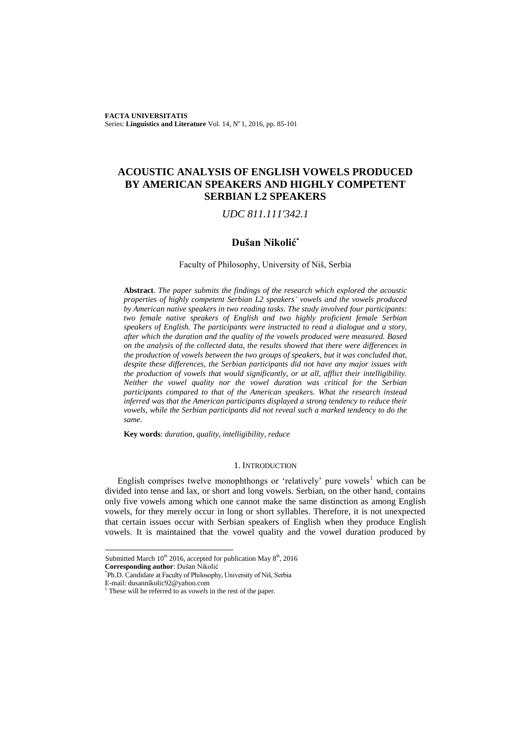**FACTA UNIVERSITATIS** Series: Linguistics and Literature Vol. 14, Nº1, 2016, pp. 85-101

# **ACOUSTIC ANALYSIS OF ENGLISH VOWELS PRODUCED BY AMERICAN SPEAKERS AND HIGHLY COMPETENT SERBIAN L2 SPEAKERS**

## *UDC 811.111'342.1*

## **Dušan Nikolić\***

#### Faculty of Philosophy, University of Niš, Serbia

**Abstract**. *The paper submits the findings of the research which explored the acoustic properties of highly competent Serbian L2 speakers' vowels and the vowels produced by American native speakers in two reading tasks. The study involved four participants: two female native speakers of English and two highly proficient female Serbian speakers of English. The participants were instructed to read a dialogue and a story, after which the duration and the quality of the vowels produced were measured. Based on the analysis of the collected data, the results showed that there were differences in the production of vowels between the two groups of speakers, but it was concluded that, despite these differences, the Serbian participants did not have any major issues with the production of vowels that would significantly, or at all, afflict their intelligibility. Neither the vowel quality nor the vowel duration was critical for the Serbian participants compared to that of the American speakers. What the research instead inferred was that the American participants displayed a strong tendency to reduce their vowels, while the Serbian participants did not reveal such a marked tendency to do the same.*

**Key words**: *duration, quality, intelligibility, reduce*

#### 1. INTRODUCTION

English comprises twelve monophthongs or 'relatively' pure vowels<sup>1</sup> which can be divided into tense and lax, or short and long vowels. Serbian, on the other hand, contains only five vowels among which one cannot make the same distinction as among English vowels, for they merely occur in long or short syllables. Therefore, it is not unexpected that certain issues occur with Serbian speakers of English when they produce English vowels. It is maintained that the vowel quality and the vowel duration produced by

Submitted March  $10^{th}$  2016, accepted for publication May  $8^{th}$ , 2016

**Corresponding author**: Dušan Nikolić

<sup>\*</sup> Ph.D. Candidate at Faculty of Philosophy, University of Niš, Serbia

E-mail: dusannikolic92@yahoo.com

<sup>1</sup> These will be referred to as *vowels* in the rest of the paper.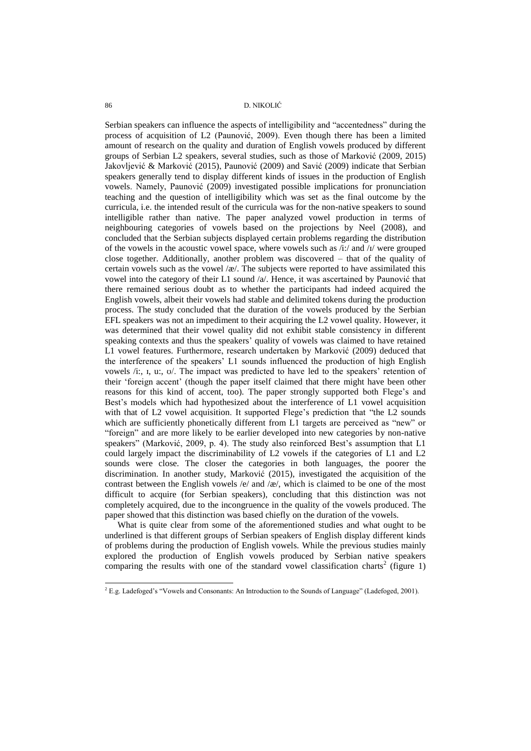Serbian speakers can influence the aspects of intelligibility and "accentedness" during the process of acquisition of L2 (Paunović, 2009). Even though there has been a limited amount of research on the quality and duration of English vowels produced by different groups of Serbian L2 speakers, several studies, such as those of Marković (2009, 2015) Jakovljević & Marković (2015), Paunović (2009) and Savić (2009) indicate that Serbian speakers generally tend to display different kinds of issues in the production of English vowels. Namely, Paunović (2009) investigated possible implications for pronunciation teaching and the question of intelligibility which was set as the final outcome by the curricula, i.e. the intended result of the curricula was for the non-native speakers to sound intelligible rather than native. The paper analyzed vowel production in terms of neighbouring categories of vowels based on the projections by Neel (2008), and concluded that the Serbian subjects displayed certain problems regarding the distribution of the vowels in the acoustic vowel space, where vowels such as /i:/ and /ɪ/ were grouped close together. Additionally, another problem was discovered – that of the quality of certain vowels such as the vowel  $\alpha$ . The subjects were reported to have assimilated this vowel into the category of their L1 sound /a/. Hence, it was ascertained by Paunović that there remained serious doubt as to whether the participants had indeed acquired the English vowels, albeit their vowels had stable and delimited tokens during the production process. The study concluded that the duration of the vowels produced by the Serbian EFL speakers was not an impediment to their acquiring the L2 vowel quality. However, it was determined that their vowel quality did not exhibit stable consistency in different speaking contexts and thus the speakers" quality of vowels was claimed to have retained L1 vowel features. Furthermore, research undertaken by Marković (2009) deduced that the interference of the speakers" L1 sounds influenced the production of high English vowels /i:, I, u:, U/. The impact was predicted to have led to the speakers' retention of their "foreign accent" (though the paper itself claimed that there might have been other reasons for this kind of accent, too). The paper strongly supported both Flege's and Best"s models which had hypothesized about the interference of L1 vowel acquisition with that of L2 vowel acquisition. It supported Flege's prediction that "the L2 sounds which are sufficiently phonetically different from L1 targets are perceived as "new" or "foreign" and are more likely to be earlier developed into new categories by non-native speakers" (Marković, 2009, p. 4). The study also reinforced Best's assumption that L1 could largely impact the discriminability of L2 vowels if the categories of L1 and L2 sounds were close. The closer the categories in both languages, the poorer the discrimination. In another study, Marković (2015), investigated the acquisition of the contrast between the English vowels /e/ and /æ/, which is claimed to be one of the most difficult to acquire (for Serbian speakers), concluding that this distinction was not completely acquired, due to the incongruence in the quality of the vowels produced. The paper showed that this distinction was based chiefly on the duration of the vowels.

What is quite clear from some of the aforementioned studies and what ought to be underlined is that different groups of Serbian speakers of English display different kinds of problems during the production of English vowels. While the previous studies mainly explored the production of English vowels produced by Serbian native speakers comparing the results with one of the standard vowel classification charts<sup>2</sup> (figure 1)

 ${}^{2}$  E.g. Ladefoged's "Vowels and Consonants: An Introduction to the Sounds of Language" (Ladefoged, 2001).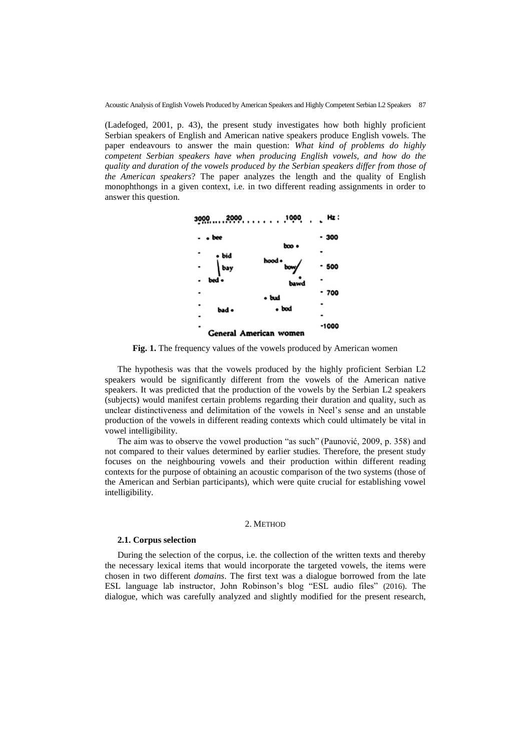(Ladefoged, 2001, p. 43), the present study investigates how both highly proficient Serbian speakers of English and American native speakers produce English vowels. The paper endeavours to answer the main question: *What kind of problems do highly competent Serbian speakers have when producing English vowels, and how do the quality and duration of the vowels produced by the Serbian speakers differ from those of the American speakers*? The paper analyzes the length and the quality of English monophthongs in a given context, i.e. in two different reading assignments in order to answer this question.



**Fig. 1.** The frequency values of the vowels produced by American women

The hypothesis was that the vowels produced by the highly proficient Serbian L2 speakers would be significantly different from the vowels of the American native speakers. It was predicted that the production of the vowels by the Serbian L2 speakers (subjects) would manifest certain problems regarding their duration and quality, such as unclear distinctiveness and delimitation of the vowels in Neel"s sense and an unstable production of the vowels in different reading contexts which could ultimately be vital in vowel intelligibility.

The aim was to observe the vowel production "as such" (Paunović, 2009, p. 358) and not compared to their values determined by earlier studies. Therefore, the present study focuses on the neighbouring vowels and their production within different reading contexts for the purpose of obtaining an acoustic comparison of the two systems (those of the American and Serbian participants), which were quite crucial for establishing vowel intelligibility.

#### 2. METHOD

#### **2.1. Corpus selection**

During the selection of the corpus, i.e. the collection of the written texts and thereby the necessary lexical items that would incorporate the targeted vowels, the items were chosen in two different *domains*. The first text was a dialogue borrowed from the late ESL language lab instructor, John Robinson's blog "ESL audio files" (2016). The dialogue, which was carefully analyzed and slightly modified for the present research,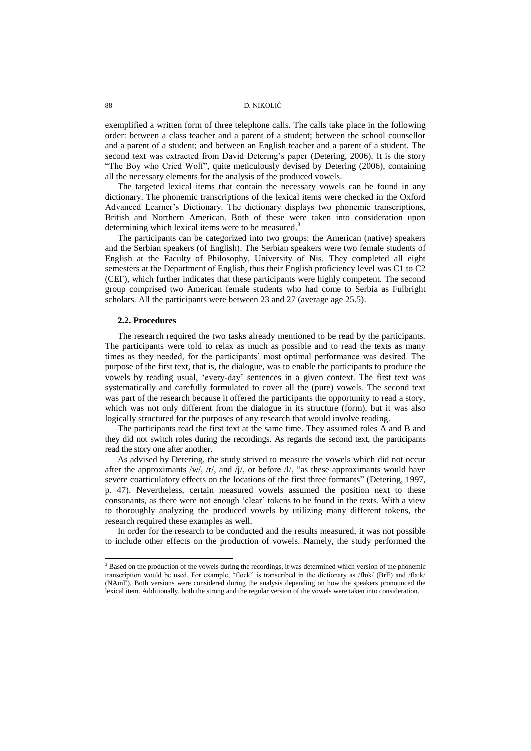exemplified a written form of three telephone calls. The calls take place in the following order: between a class teacher and a parent of a student; between the school counsellor and a parent of a student; and between an English teacher and a parent of a student. The second text was extracted from David Detering's paper (Detering, 2006). It is the story "The Boy who Cried Wolf", quite meticulously devised by Detering (2006), containing all the necessary elements for the analysis of the produced vowels.

The targeted lexical items that contain the necessary vowels can be found in any dictionary. The phonemic transcriptions of the lexical items were checked in the Oxford Advanced Learner"s Dictionary. The dictionary displays two phonemic transcriptions, British and Northern American. Both of these were taken into consideration upon determining which lexical items were to be measured.<sup>3</sup>

The participants can be categorized into two groups: the American (native) speakers and the Serbian speakers (of English). The Serbian speakers were two female students of English at the Faculty of Philosophy, University of Nis. They completed all eight semesters at the Department of English, thus their English proficiency level was C1 to C2 (CEF), which further indicates that these participants were highly competent. The second group comprised two American female students who had come to Serbia as Fulbright scholars. All the participants were between 23 and 27 (average age 25.5).

#### **2.2. Procedures**

l

The research required the two tasks already mentioned to be read by the participants. The participants were told to relax as much as possible and to read the texts as many times as they needed, for the participants" most optimal performance was desired. The purpose of the first text, that is, the dialogue, was to enable the participants to produce the vowels by reading usual, "every-day" sentences in a given context. The first text was systematically and carefully formulated to cover all the (pure) vowels. The second text was part of the research because it offered the participants the opportunity to read a story, which was not only different from the dialogue in its structure (form), but it was also logically structured for the purposes of any research that would involve reading.

The participants read the first text at the same time. They assumed roles A and B and they did not switch roles during the recordings. As regards the second text, the participants read the story one after another.

As advised by Detering, the study strived to measure the vowels which did not occur after the approximants /w/, /r/, and /j/, or before /l/, "as these approximants would have severe coarticulatory effects on the locations of the first three formants" (Detering, 1997, p. 47). Nevertheless, certain measured vowels assumed the position next to these consonants, as there were not enough "clear" tokens to be found in the texts. With a view to thoroughly analyzing the produced vowels by utilizing many different tokens, the research required these examples as well.

In order for the research to be conducted and the results measured, it was not possible to include other effects on the production of vowels. Namely, the study performed the

<sup>&</sup>lt;sup>3</sup> Based on the production of the vowels during the recordings, it was determined which version of the phonemic transcription would be used. For example, "flock" is transcribed in the dictionary as /flɒk/ (BrE) and /fla:k/ (NAmE). Both versions were considered during the analysis depending on how the speakers pronounced the lexical item. Additionally, both the strong and the regular version of the vowels were taken into consideration.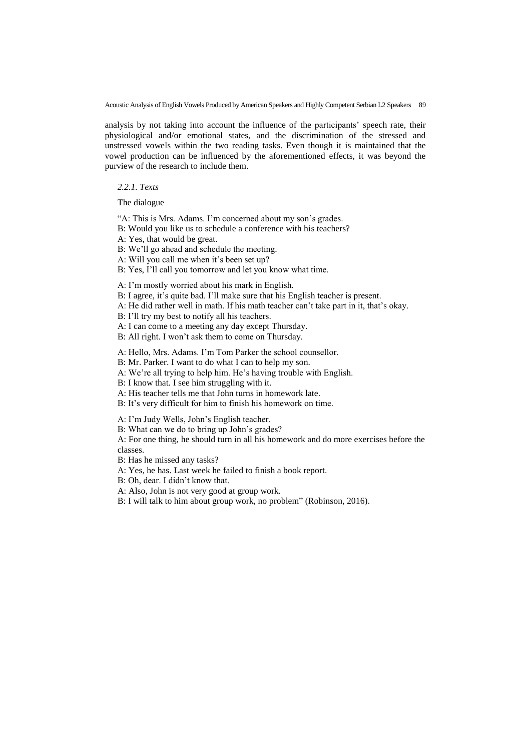analysis by not taking into account the influence of the participants' speech rate, their physiological and/or emotional states, and the discrimination of the stressed and unstressed vowels within the two reading tasks. Even though it is maintained that the vowel production can be influenced by the aforementioned effects, it was beyond the purview of the research to include them.

#### *2.2.1. Texts*

The dialogue

"A: This is Mrs. Adams. I'm concerned about my son's grades.

B: Would you like us to schedule a conference with his teachers?

A: Yes, that would be great.

B: We"ll go ahead and schedule the meeting.

A: Will you call me when it's been set up?

B: Yes, I"ll call you tomorrow and let you know what time.

A: I"m mostly worried about his mark in English.

B: I agree, it's quite bad. I'll make sure that his English teacher is present.

A: He did rather well in math. If his math teacher can"t take part in it, that"s okay.

B: I'll try my best to notify all his teachers.

A: I can come to a meeting any day except Thursday.

B: All right. I won't ask them to come on Thursday.

A: Hello, Mrs. Adams. I"m Tom Parker the school counsellor.

B: Mr. Parker. I want to do what I can to help my son.

A: We're all trying to help him. He's having trouble with English.

B: I know that. I see him struggling with it.

A: His teacher tells me that John turns in homework late.

B: It's very difficult for him to finish his homework on time.

A: I"m Judy Wells, John"s English teacher.

B: What can we do to bring up John"s grades?

A: For one thing, he should turn in all his homework and do more exercises before the classes.

B: Has he missed any tasks?

A: Yes, he has. Last week he failed to finish a book report.

B: Oh, dear. I didn"t know that.

A: Also, John is not very good at group work.

B: I will talk to him about group work, no problem" (Robinson, 2016).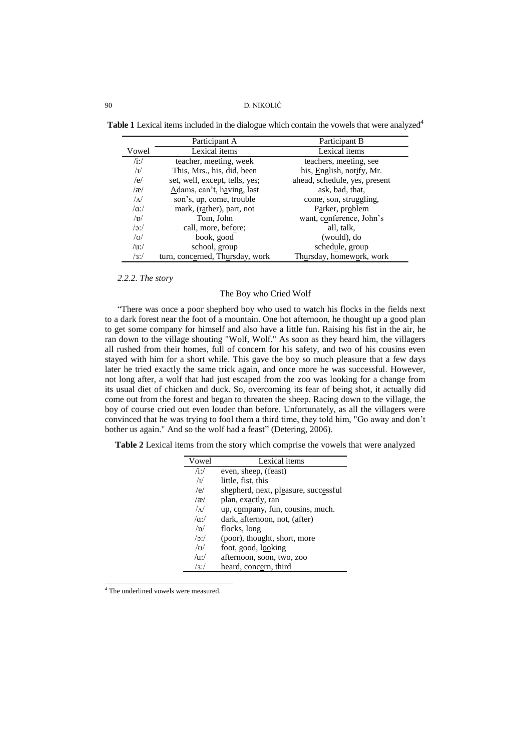Table 1 Lexical items included in the dialogue which contain the vowels that were analyzed<sup>4</sup>

|                   | Participant A                   | Participant B                 |
|-------------------|---------------------------------|-------------------------------|
| Vowel             | Lexical items                   | Lexical items                 |
| $/$ i:/           | teacher, meeting, week          | teachers, meeting, see        |
| $\sqrt{1}$        | This, Mrs., his, did, been      | his, English, notify, Mr.     |
| /e/               | set, well, except, tells, yes;  | ahead, schedule, yes, present |
| $\alpha$          | Adams, can't, having, last      | ask, bad, that,               |
| $\Lambda$         | son's, up, come, trouble        | come, son, struggling,        |
| $\alpha$ :/       | mark, (rather), part, not       | Parker, problem               |
| $\sqrt{D}$        | Tom, John                       | want, conference, John's      |
| $/$ c $/$         | call, more, before;             | all, talk,                    |
| $\sigma$          | book, good                      | (would), do                   |
| $\overline{u}$ :/ | school, group                   | schedule, group               |
| $/3$ :/           | turn, concerned, Thursday, work | Thursday, homework, work      |

## *2.2.2. The story*

## The Boy who Cried Wolf

"There was once a poor shepherd boy who used to watch his flocks in the fields next to a dark forest near the foot of a mountain. One hot afternoon, he thought up a good plan to get some company for himself and also have a little fun. Raising his fist in the air, he ran down to the village shouting "Wolf, Wolf." As soon as they heard him, the villagers all rushed from their homes, full of concern for his safety, and two of his cousins even stayed with him for a short while. This gave the boy so much pleasure that a few days later he tried exactly the same trick again, and once more he was successful. However, not long after, a wolf that had just escaped from the zoo was looking for a change from its usual diet of chicken and duck. So, overcoming its fear of being shot, it actually did come out from the forest and began to threaten the sheep. Racing down to the village, the boy of course cried out even louder than before. Unfortunately, as all the villagers were convinced that he was trying to fool them a third time, they told him, "Go away and don"t bother us again." And so the wolf had a feast" (Detering, 2006).

**Table 2** Lexical items from the story which comprise the vowels that were analyzed

| Vowel           | Lexical items                        |
|-----------------|--------------------------------------|
| $/i$ :/         | even, sheep, (feast)                 |
| $/\mathbf{I}/$  | little, fist, this                   |
| /e/             | shepherd, next, pleasure, successful |
| $\alpha$        | plan, exactly, ran                   |
| $\sqrt{\Delta}$ | up, company, fun, cousins, much.     |
| $\alpha$ .      | dark, afternoon, not, (after)        |
| /n/             | flocks, long                         |
| $\sqrt{2}$ :    | (poor), thought, short, more         |
| $\sqrt{U}$      | foot, good, looking                  |
| $/u$ :/         | afternoon, soon, two, zoo            |
| $\sqrt{3}$      | heard, concern, third                |

<sup>4</sup> The underlined vowels were measured.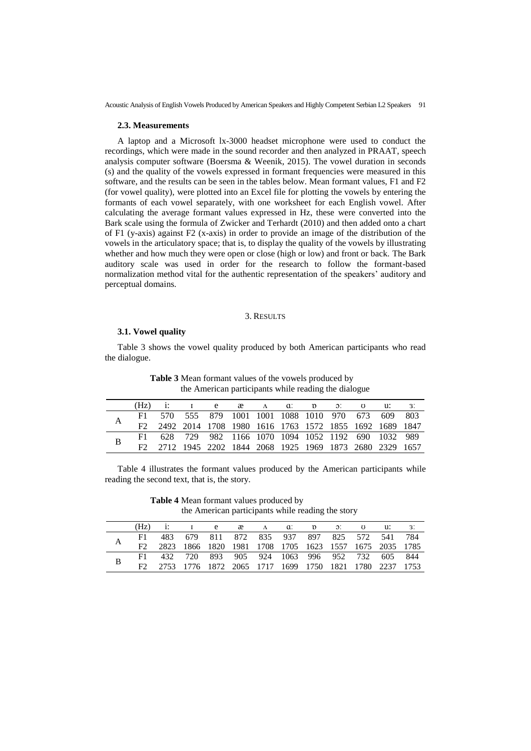### **2.3. Measurements**

A laptop and a Microsoft lx-3000 headset microphone were used to conduct the recordings, which were made in the sound recorder and then analyzed in PRAAT, speech analysis computer software (Boersma & Weenik, 2015). The vowel duration in seconds (s) and the quality of the vowels expressed in formant frequencies were measured in this software, and the results can be seen in the tables below. Mean formant values, F1 and F2 (for vowel quality), were plotted into an Excel file for plotting the vowels by entering the formants of each vowel separately, with one worksheet for each English vowel. After calculating the average formant values expressed in Hz, these were converted into the Bark scale using the formula of Zwicker and Terhardt (2010) and then added onto a chart of F1 (y-axis) against F2 (x-axis) in order to provide an image of the distribution of the vowels in the articulatory space; that is, to display the quality of the vowels by illustrating whether and how much they were open or close (high or low) and front or back. The Bark auditory scale was used in order for the research to follow the formant-based normalization method vital for the authentic representation of the speakers' auditory and perceptual domains.

#### 3. RESULTS

#### **3.1. Vowel quality**

Table 3 shows the vowel quality produced by both American participants who read the dialogue.

|   | (Hz) |                                                        | $I$ e $x$ $A$ a $x$ b $y$ $y$ a.                |  |  |  | -3. |
|---|------|--------------------------------------------------------|-------------------------------------------------|--|--|--|-----|
| A |      |                                                        | 570 555 879 1001 1001 1088 1010 970 673 609 803 |  |  |  |     |
|   |      | 2492 2014 1708 1980 1616 1763 1572 1855 1692 1689 1847 |                                                 |  |  |  |     |
| B |      | 628 729 982 1166 1070 1094 1052 1192 690 1032 989      |                                                 |  |  |  |     |
|   |      | 2712 1945 2202 1844 2068 1925 1969 1873 2680 2329 1657 |                                                 |  |  |  |     |

**Table 3** Mean formant values of the vowels produced by the American participants while reading the dialogue

Table 4 illustrates the formant values produced by the American participants while reading the second text, that is, the story.

**Table 4** Mean formant values produced by the American participants while reading the story

|   | (Hz) |                                                        |  |  |  |  | I e $x = \Lambda$ a p of $y = \Lambda$ as $\Lambda$ |  |
|---|------|--------------------------------------------------------|--|--|--|--|-----------------------------------------------------|--|
|   |      |                                                        |  |  |  |  | 483 679 811 872 835 937 897 825 572 541 784         |  |
| А |      | 2823 1866 1820 1981 1708 1705 1623 1557 1675 2035 1785 |  |  |  |  |                                                     |  |
|   |      |                                                        |  |  |  |  | 432 720 893 905 924 1063 996 952 732 605 844        |  |
| B |      | 2753 1776 1872 2065 1717 1699 1750 1821 1780 2237 1753 |  |  |  |  |                                                     |  |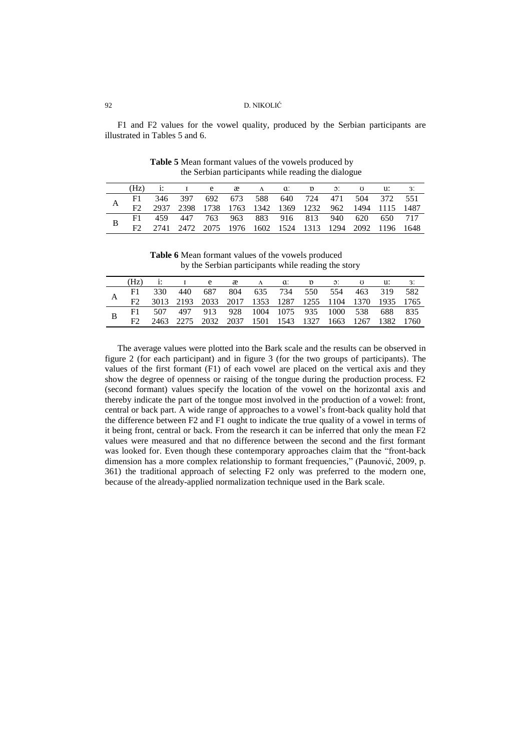F1 and F2 values for the vowel quality, produced by the Serbian participants are illustrated in Tables 5 and 6.

|     |  |  |  | $(Hz)$ i: I e $\alpha$ $\alpha$ i: D $\beta$ : U $\alpha$ : 3:                                        |  |  |
|-----|--|--|--|-------------------------------------------------------------------------------------------------------|--|--|
| F1. |  |  |  | 346 397 692 673 588 640 724 471 504 372 551<br>2937 2398 1738 1763 1342 1369 1232 962 1494 1115 1487  |  |  |
| F2  |  |  |  |                                                                                                       |  |  |
| F1  |  |  |  |                                                                                                       |  |  |
|     |  |  |  | 459 447 763 963 883 916 813 940 620 650 717<br>2741 2472 2075 1976 1602 1524 1313 1294 2092 1196 1648 |  |  |

**Table 5** Mean formant values of the vowels produced by the Serbian participants while reading the dialogue

**Table 6** Mean formant values of the vowels produced by the Serbian participants while reading the story

| (Hz) |  | 1: I e æ A d: p ɔ: ʊ u:                                                                                  |  |  |  |  |
|------|--|----------------------------------------------------------------------------------------------------------|--|--|--|--|
|      |  | 330 440 687 804 635 734 550 554 463 319 582                                                              |  |  |  |  |
|      |  | 3013 2193 2033 2017 1353 1287 1255 1104 1370 1935 1765                                                   |  |  |  |  |
|      |  |                                                                                                          |  |  |  |  |
|      |  | 507 497 913 928 1004 1075 935 1000 538 688 835<br>2463 2275 2032 2037 1501 1543 1327 1663 1267 1382 1760 |  |  |  |  |

The average values were plotted into the Bark scale and the results can be observed in figure 2 (for each participant) and in figure 3 (for the two groups of participants). The values of the first formant (F1) of each vowel are placed on the vertical axis and they show the degree of openness or raising of the tongue during the production process. F2 (second formant) values specify the location of the vowel on the horizontal axis and thereby indicate the part of the tongue most involved in the production of a vowel: front, central or back part. A wide range of approaches to a vowel"s front-back quality hold that the difference between F2 and F1 ought to indicate the true quality of a vowel in terms of it being front, central or back. From the research it can be inferred that only the mean F2 values were measured and that no difference between the second and the first formant was looked for. Even though these contemporary approaches claim that the "front-back dimension has a more complex relationship to formant frequencies," (Paunović, 2009, p. 361) the traditional approach of selecting F2 only was preferred to the modern one, because of the already-applied normalization technique used in the Bark scale.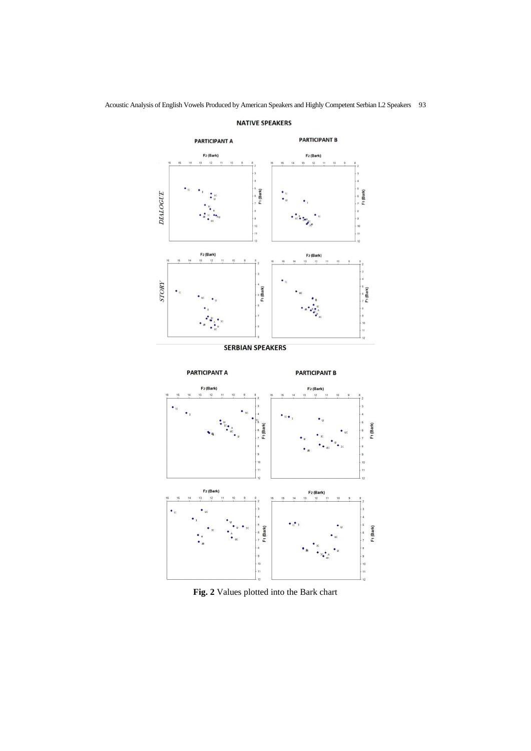

## **NATIVE SPEAKERS**





**Fig. 2** Values plotted into the Bark chart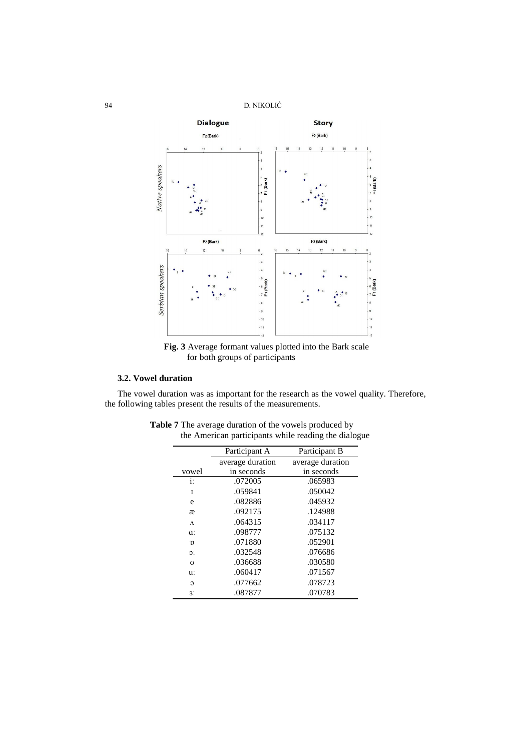94 D. NIKOLIĆ



**Fig. 3** Average formant values plotted into the Bark scale for both groups of participants

## **3.2. Vowel duration**

The vowel duration was as important for the research as the vowel quality. Therefore, the following tables present the results of the measurements.

|                  | Participant A    | Participant B    |
|------------------|------------------|------------------|
|                  | average duration | average duration |
| vowel            | in seconds       | in seconds       |
| i:               | .072005          | .065983          |
| T                | .059841          | .050042          |
| e                | .082886          | .045932          |
| æ                | .092175          | .124988          |
| $\Lambda$        | .064315          | .034117          |
| a:               | .098777          | .075132          |
| $\mathfrak{v}$   | .071880          | .052901          |
| $\mathfrak{D}$ : | .032548          | .076686          |
| $\mathfrak{g}$   | .036688          | .030580          |
| u:               | .060417          | .071567          |
| $\Theta$         | .077662          | .078723          |
| 3.               | .087877          | .070783          |

**Table 7** The average duration of the vowels produced by the American participants while reading the dialogue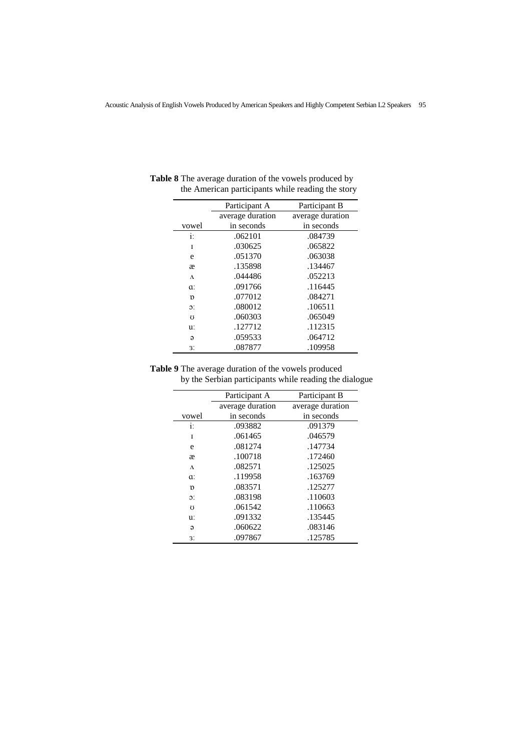|                  | Participant A    | Participant B    |
|------------------|------------------|------------------|
|                  | average duration | average duration |
| vowel            | in seconds       | in seconds       |
| i:               | .062101          | .084739          |
| T                | .030625          | .065822          |
| e                | .051370          | .063038          |
| æ                | .135898          | .134467          |
| $\Lambda$        | .044486          | .052213          |
| a:               | .091766          | .116445          |
| $\mathfrak{v}$   | .077012          | .084271          |
| $\mathfrak{D}$ : | .080012          | .106511          |
| Ω                | .060303          | .065049          |
| u:               | .127712          | .112315          |
| $\Theta$         | .059533          | .064712          |
| 3.               | .087877          | .109958          |

**Table 8** The average duration of the vowels produced by the American participants while reading the story

**Table 9** The average duration of the vowels produced by the Serbian participants while reading the dialogue

|                  | Participant A    | Participant B    |
|------------------|------------------|------------------|
|                  | average duration | average duration |
| vowel            | in seconds       | in seconds       |
| $\mathbf{i}$ :   | .093882          | .091379          |
| I                | .061465          | .046579          |
| e                | .081274          | .147734          |
| æ                | .100718          | .172460          |
| $\Lambda$        | .082571          | .125025          |
| a:               | .119958          | .163769          |
| D                | .083571          | .125277          |
| $\mathfrak{D}$ : | .083198          | .110603          |
| $\mathfrak{g}$   | .061542          | .110663          |
| u:               | .091332          | .135445          |
| $\Theta$         | .060622          | .083146          |
| 3.               | .097867          | .125785          |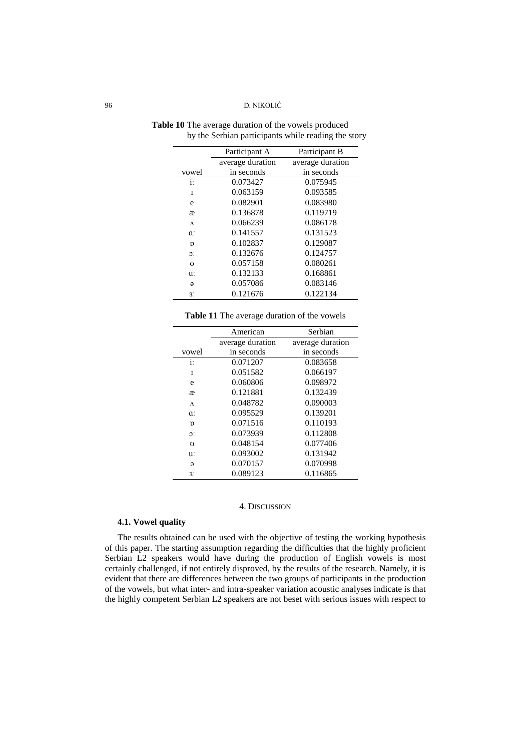|                  | Participant A    | Participant B    |
|------------------|------------------|------------------|
|                  | average duration | average duration |
| vowel            | in seconds       | in seconds       |
| i:               | 0.073427         | 0.075945         |
| I                | 0.063159         | 0.093585         |
| e                | 0.082901         | 0.083980         |
| æ                | 0.136878         | 0.119719         |
| Λ                | 0.066239         | 0.086178         |
| a:               | 0.141557         | 0.131523         |
| D                | 0.102837         | 0.129087         |
| $\mathfrak{D}$ : | 0.132676         | 0.124757         |
| Ω                | 0.057158         | 0.080261         |
| u:               | 0.132133         | 0.168861         |
| ə                | 0.057086         | 0.083146         |
| 3.               | 0.121676         | 0.122134         |

**Table 10** The average duration of the vowels produced by the Serbian participants while reading the story

| Table 11 The average duration of the vowels |  |
|---------------------------------------------|--|
|---------------------------------------------|--|

|                        | American         | Serbian          |
|------------------------|------------------|------------------|
|                        | average duration | average duration |
| vowel                  | in seconds       | in seconds       |
| i:                     | 0.071207         | 0.083658         |
| T                      | 0.051582         | 0.066197         |
| e                      | 0.060806         | 0.098972         |
| æ                      | 0.121881         | 0.132439         |
| $\Lambda$              | 0.048782         | 0.090003         |
| a:                     | 0.095529         | 0.139201         |
| D                      | 0.071516         | 0.110193         |
| $\mathfrak{D}^{\star}$ | 0.073939         | 0.112808         |
| Ω                      | 0.048154         | 0.077406         |
| u:                     | 0.093002         | 0.131942         |
| $\Theta$               | 0.070157         | 0.070998         |
| 3.                     | 0.089123         | 0.116865         |
|                        |                  |                  |

### 4. DISCUSSION

## **4.1. Vowel quality**

The results obtained can be used with the objective of testing the working hypothesis of this paper. The starting assumption regarding the difficulties that the highly proficient Serbian L2 speakers would have during the production of English vowels is most certainly challenged, if not entirely disproved, by the results of the research. Namely, it is evident that there are differences between the two groups of participants in the production of the vowels, but what inter- and intra-speaker variation acoustic analyses indicate is that the highly competent Serbian L2 speakers are not beset with serious issues with respect to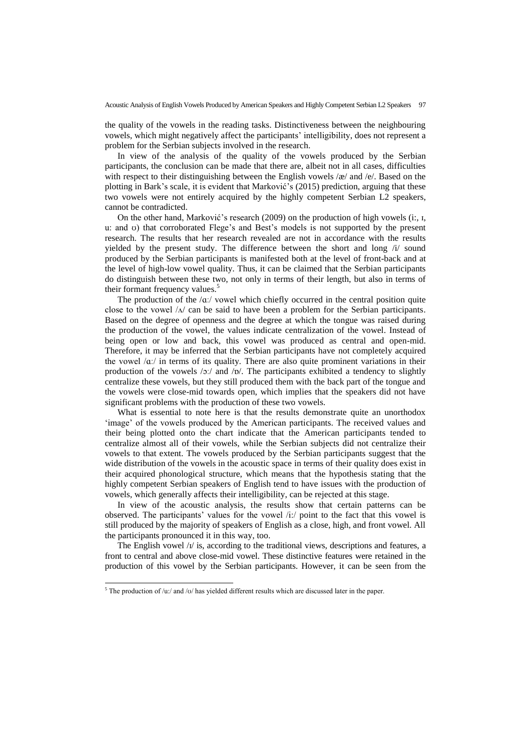the quality of the vowels in the reading tasks. Distinctiveness between the neighbouring vowels, which might negatively affect the participants" intelligibility, does not represent a problem for the Serbian subjects involved in the research.

In view of the analysis of the quality of the vowels produced by the Serbian participants, the conclusion can be made that there are, albeit not in all cases, difficulties with respect to their distinguishing between the English vowels /æ/ and /e/. Based on the plotting in Bark's scale, it is evident that Marković's (2015) prediction, arguing that these two vowels were not entirely acquired by the highly competent Serbian L2 speakers, cannot be contradicted.

On the other hand, Marković's research (2009) on the production of high vowels (i:, 1, u: and ʊ) that corroborated Flege"s and Best"s models is not supported by the present research. The results that her research revealed are not in accordance with the results yielded by the present study. The difference between the short and long /i/ sound produced by the Serbian participants is manifested both at the level of front-back and at the level of high-low vowel quality. Thus, it can be claimed that the Serbian participants do distinguish between these two, not only in terms of their length, but also in terms of their formant frequency values.<sup>5</sup>

The production of the  $\alpha$ . vowel which chiefly occurred in the central position quite close to the vowel /ʌ/ can be said to have been a problem for the Serbian participants. Based on the degree of openness and the degree at which the tongue was raised during the production of the vowel, the values indicate centralization of the vowel. Instead of being open or low and back, this vowel was produced as central and open-mid. Therefore, it may be inferred that the Serbian participants have not completely acquired the vowel  $\alpha$ . in terms of its quality. There are also quite prominent variations in their production of the vowels  $/2$ :/ and  $/2$ . The participants exhibited a tendency to slightly centralize these vowels, but they still produced them with the back part of the tongue and the vowels were close-mid towards open, which implies that the speakers did not have significant problems with the production of these two vowels.

What is essential to note here is that the results demonstrate quite an unorthodox "image" of the vowels produced by the American participants. The received values and their being plotted onto the chart indicate that the American participants tended to centralize almost all of their vowels, while the Serbian subjects did not centralize their vowels to that extent. The vowels produced by the Serbian participants suggest that the wide distribution of the vowels in the acoustic space in terms of their quality does exist in their acquired phonological structure, which means that the hypothesis stating that the highly competent Serbian speakers of English tend to have issues with the production of vowels, which generally affects their intelligibility, can be rejected at this stage.

In view of the acoustic analysis, the results show that certain patterns can be observed. The participants' values for the vowel /i:/ point to the fact that this vowel is still produced by the majority of speakers of English as a close, high, and front vowel. All the participants pronounced it in this way, too.

The English vowel  $\frac{1}{l}$  is, according to the traditional views, descriptions and features, a front to central and above close-mid vowel. These distinctive features were retained in the production of this vowel by the Serbian participants. However, it can be seen from the

 $5$  The production of /u:/ and /ʊ/ has yielded different results which are discussed later in the paper.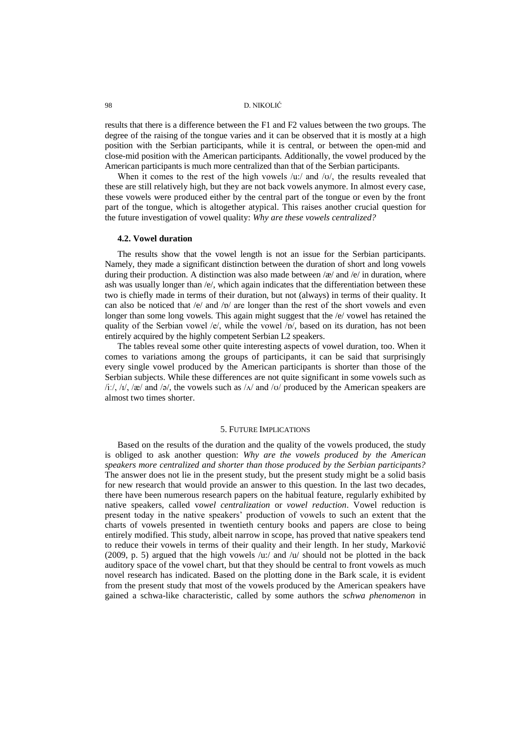results that there is a difference between the F1 and F2 values between the two groups. The degree of the raising of the tongue varies and it can be observed that it is mostly at a high position with the Serbian participants, while it is central, or between the open-mid and close-mid position with the American participants. Additionally, the vowel produced by the American participants is much more centralized than that of the Serbian participants.

When it comes to the rest of the high vowels /u:/ and /v/, the results revealed that these are still relatively high, but they are not back vowels anymore. In almost every case, these vowels were produced either by the central part of the tongue or even by the front part of the tongue, which is altogether atypical. This raises another crucial question for the future investigation of vowel quality: *Why are these vowels centralized?*

### **4.2. Vowel duration**

The results show that the vowel length is not an issue for the Serbian participants. Namely, they made a significant distinction between the duration of short and long vowels during their production. A distinction was also made between /æ/ and /e/ in duration, where ash was usually longer than /e/, which again indicates that the differentiation between these two is chiefly made in terms of their duration, but not (always) in terms of their quality. It can also be noticed that  $/e$  and  $/p$  are longer than the rest of the short vowels and even longer than some long vowels. This again might suggest that the /e/ vowel has retained the quality of the Serbian vowel /e/, while the vowel  $\left|p\right|$ , based on its duration, has not been entirely acquired by the highly competent Serbian L2 speakers.

The tables reveal some other quite interesting aspects of vowel duration, too. When it comes to variations among the groups of participants, it can be said that surprisingly every single vowel produced by the American participants is shorter than those of the Serbian subjects. While these differences are not quite significant in some vowels such as  $\frac{\partial f}{\partial x}$ ,  $\frac{\partial f}{\partial y}$  and  $\frac{\partial g}{\partial z}$ , the vowels such as  $\frac{\partial f}{\partial x}$  and  $\frac{\partial f}{\partial y}$  produced by the American speakers are almost two times shorter.

#### 5. FUTURE IMPLICATIONS

Based on the results of the duration and the quality of the vowels produced, the study is obliged to ask another question: *Why are the vowels produced by the American speakers more centralized and shorter than those produced by the Serbian participants?* The answer does not lie in the present study, but the present study might be a solid basis for new research that would provide an answer to this question. In the last two decades, there have been numerous research papers on the habitual feature, regularly exhibited by native speakers, called v*owel centralization* or *vowel reduction*. Vowel reduction is present today in the native speakers" production of vowels to such an extent that the charts of vowels presented in twentieth century books and papers are close to being entirely modified. This study, albeit narrow in scope, has proved that native speakers tend to reduce their vowels in terms of their quality and their length. In her study, Marković (2009, p. 5) argued that the high vowels /u:/ and /u/ should not be plotted in the back auditory space of the vowel chart, but that they should be central to front vowels as much novel research has indicated. Based on the plotting done in the Bark scale, it is evident from the present study that most of the vowels produced by the American speakers have gained a schwa-like characteristic, called by some authors the *schwa phenomenon* in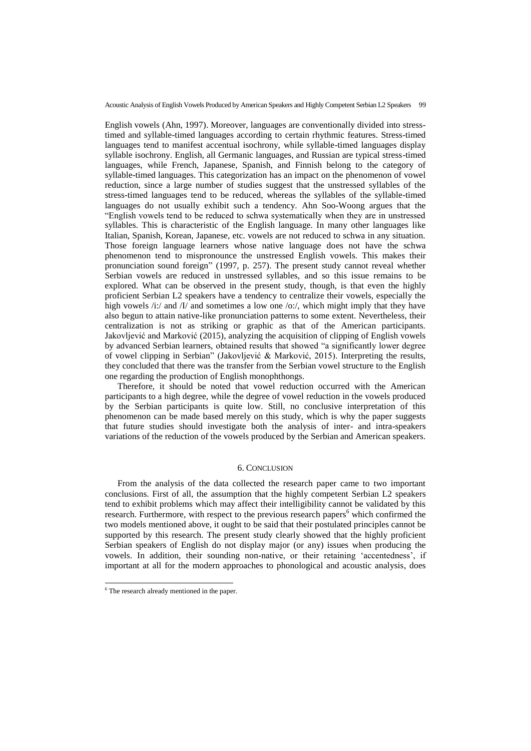English vowels (Ahn, 1997). Moreover, languages are conventionally divided into stresstimed and syllable-timed languages according to certain rhythmic features. Stress-timed languages tend to manifest accentual isochrony, while syllable-timed languages display syllable isochrony. English, all Germanic languages, and Russian are typical stress-timed languages, while French, Japanese, Spanish, and Finnish belong to the category of syllable-timed languages. This categorization has an impact on the phenomenon of vowel reduction, since a large number of studies suggest that the unstressed syllables of the stress-timed languages tend to be reduced, whereas the syllables of the syllable-timed languages do not usually exhibit such a tendency. Ahn Soo-Woong argues that the "English vowels tend to be reduced to schwa systematically when they are in unstressed syllables. This is characteristic of the English language. In many other languages like Italian, Spanish, Korean, Japanese, etc. vowels are not reduced to schwa in any situation. Those foreign language learners whose native language does not have the schwa phenomenon tend to mispronounce the unstressed English vowels. This makes their pronunciation sound foreign" (1997, p. 257). The present study cannot reveal whether Serbian vowels are reduced in unstressed syllables, and so this issue remains to be explored. What can be observed in the present study, though, is that even the highly proficient Serbian L2 speakers have a tendency to centralize their vowels, especially the high vowels /i:/ and /I/ and sometimes a low one /o:/, which might imply that they have also begun to attain native-like pronunciation patterns to some extent. Nevertheless, their centralization is not as striking or graphic as that of the American participants. Jakovljević and Marković (2015), analyzing the acquisition of clipping of English vowels by advanced Serbian learners, obtained results that showed "a significantly lower degree of vowel clipping in Serbian" (Jakovljević & Marković, 2015). Interpreting the results, they concluded that there was the transfer from the Serbian vowel structure to the English one regarding the production of English monophthongs.

Therefore, it should be noted that vowel reduction occurred with the American participants to a high degree, while the degree of vowel reduction in the vowels produced by the Serbian participants is quite low. Still, no conclusive interpretation of this phenomenon can be made based merely on this study, which is why the paper suggests that future studies should investigate both the analysis of inter- and intra-speakers variations of the reduction of the vowels produced by the Serbian and American speakers.

## 6. CONCLUSION

From the analysis of the data collected the research paper came to two important conclusions. First of all, the assumption that the highly competent Serbian L2 speakers tend to exhibit problems which may affect their intelligibility cannot be validated by this research. Furthermore, with respect to the previous research papers<sup>6</sup> which confirmed the two models mentioned above, it ought to be said that their postulated principles cannot be supported by this research. The present study clearly showed that the highly proficient Serbian speakers of English do not display major (or any) issues when producing the vowels. In addition, their sounding non-native, or their retaining "accentedness", if important at all for the modern approaches to phonological and acoustic analysis, does

<sup>&</sup>lt;sup>6</sup> The research already mentioned in the paper.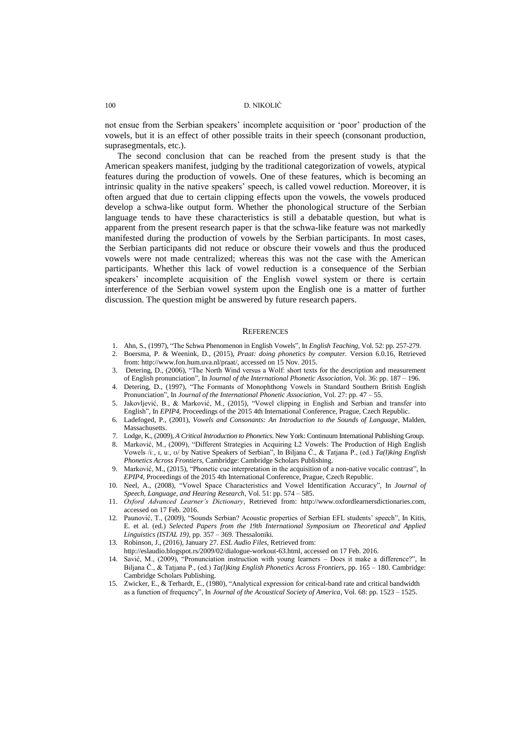not ensue from the Serbian speakers" incomplete acquisition or "poor" production of the vowels, but it is an effect of other possible traits in their speech (consonant production, suprasegmentals, etc.).

The second conclusion that can be reached from the present study is that the American speakers manifest, judging by the traditional categorization of vowels, atypical features during the production of vowels. One of these features, which is becoming an intrinsic quality in the native speakers' speech, is called vowel reduction. Moreover, it is often argued that due to certain clipping effects upon the vowels, the vowels produced develop a schwa-like output form. Whether the phonological structure of the Serbian language tends to have these characteristics is still a debatable question, but what is apparent from the present research paper is that the schwa-like feature was not markedly manifested during the production of vowels by the Serbian participants. In most cases, the Serbian participants did not reduce or obscure their vowels and thus the produced vowels were not made centralized; whereas this was not the case with the American participants. Whether this lack of vowel reduction is a consequence of the Serbian speakers" incomplete acquisition of the English vowel system or there is certain interference of the Serbian vowel system upon the English one is a matter of further discussion. The question might be answered by future research papers.

#### **REFERENCES**

- 1. Ahn, S., (1997), "The Schwa Phenomenon in English Vowels", In *English Teaching*, Vol. 52: pp. 257-279.
- 2. Boersma, P. & Weenink, D., (2015), *Praat: doing phonetics by computer.* Version 6.0.16, Retrieved from: [http://www.fon.hum.uva.nl/praat/,](http://www.fon.hum.uva.nl/praat/) accessed on 15 Nov. 2015.
- 3. Detering, D., (2006), "The North Wind versus a Wolf: short texts for the description and measurement of English pronunciation", In J*ournal of the International Phonetic Association*, Vol. 36: pp. 187 – 196.
- 4. Detering, D., (1997), "The Formants of Monophthong Vowels in Standard Southern British English Pronunciation", In *Journal of the International Phonetic Association*, Vol. 27: pp. 47 – 55.
- 5. Jakovljević, B., & Marković, M., (2015), "Vowel clipping in English and Serbian and transfer into English", In *EPIP4*, Proceedings of the 2015 4th International Conference, Prague, Czech Republic.
- 6. Ladefoged, P., (2001), *Vowels and Consonants: An Introduction to the Sounds of Language*, Malden, Massachusetts.
- 7. Lodge, K., (2009), *A Critical Introduction to Phonetics*. New York: Continuum International Publishing Group.
- 8. Marković, M., (2009), "Different Strategies in Acquiring L2 Vowels: The Production of High English Vowels /iː, ɪ, uː, ʊ/ by Native Speakers of Serbian", In Biljana Ĉ., & Tatjana P., (ed.) *Ta(l)king English Phonetics Across Frontiers*, Cambridge: Cambridge Scholars Publishing.
- 9. Marković, M., (2015), "Phonetic cue interpretation in the acquisition of a non-native vocalic contrast", In *EPIP4*, Proceedings of the 2015 4th International Conference, Prague, Czech Republic.
- 10. Neel, A., (2008), "Vowel Space Characteristics and Vowel Identification Accuracy", In *Journal of Speech, Language, and Hearing Research*, Vol. 51: pp. 574 – 585.
- 11. *Oxford Advanced Learner's Dictionary*, Retrieved from: [http://www.oxfordlearnersdictionaries.com,](http://www.oxfordlearnersdictionaries.com/)  accessed on 17 Feb. 2016.
- 12. Paunović, T., (2009), "Sounds Serbian? Acoustic properties of Serbian EFL students" speech", In Kitis, E. et al. (ed.) *Selected Papers from the 19th International Symposium on Theoretical and Applied Linguistics (ISTAL 19)*, pp. 357 – 369. Thessaloniki.
- 13. Robinson, J., (2016), January 27. *ESL Audio Files,* Retrieved from:
- [http://eslaudio.blogspot.rs/2009/02/dialogue-workout-63.html,](http://eslaudio.blogspot.rs/2009/02/dialogue-workout-63.html) accessed on 17 Feb. 2016.
- 14. Savić, M., (2009), "Pronunciation instruction with young learners Does it make a difference?", In Biljana Ĉ., & Tatjana P., (ed.) *Ta(l)king English Phonetics Across Frontiers*, pp. 165 – 180. Cambridge: Cambridge Scholars Publishing.
- 15. Zwicker, E., & Terhardt, E., (1980), "Analytical expression for critical-band rate and critical bandwidth as a function of frequency", In *Journal of the Acoustical Society of America*, Vol. 68: pp. 1523 – 1525.